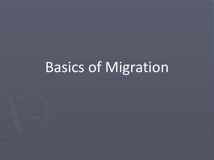# Basics of Migration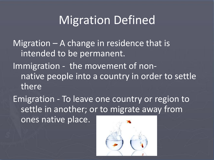### Migration Defined

Migration – A change in residence that is intended to be permanent. Immigration - the movement of nonnative people into a country in order to settle there

Emigration - To leave one country or region to settle in another; or to migrate away from ones native place.

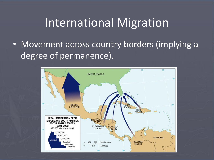### International Migration

• Movement across country borders (implying a degree of permanence).

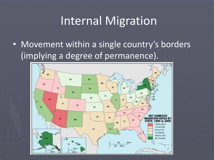# Internal Migration

• Movement within a single country's borders (implying a degree of permanence).

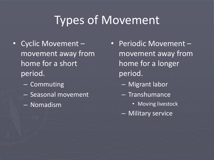# Types of Movement

- Cyclic Movement movement away from home for a short period.
	- Commuting
	- Seasonal movement
	- Nomadism
- Periodic Movement movement away from home for a longer period.
	- Migrant labor
	- Transhumance
		- Moving livestock
	- Military service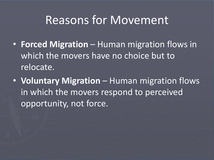### Reasons for Movement

- **Forced Migration**  Human migration flows in which the movers have no choice but to relocate.
- **Voluntary Migration** Human migration flows in which the movers respond to perceived opportunity, not force.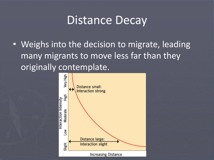#### Distance Decay

• Weighs into the decision to migrate, leading many migrants to move less far than they originally contemplate.

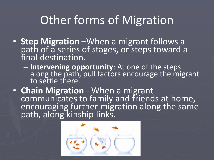# Other forms of Migration

- **Step Migration** –When a migrant follows a path of a series of stages, or steps toward a final destination.
	- **Intervening opportunity**: At one of the steps along the path, pull factors encourage the migrant to settle there.
- **Chain Migration**  When a migrant communicates to family and friends at home, encouraging further migration along the same path, along kinship links.